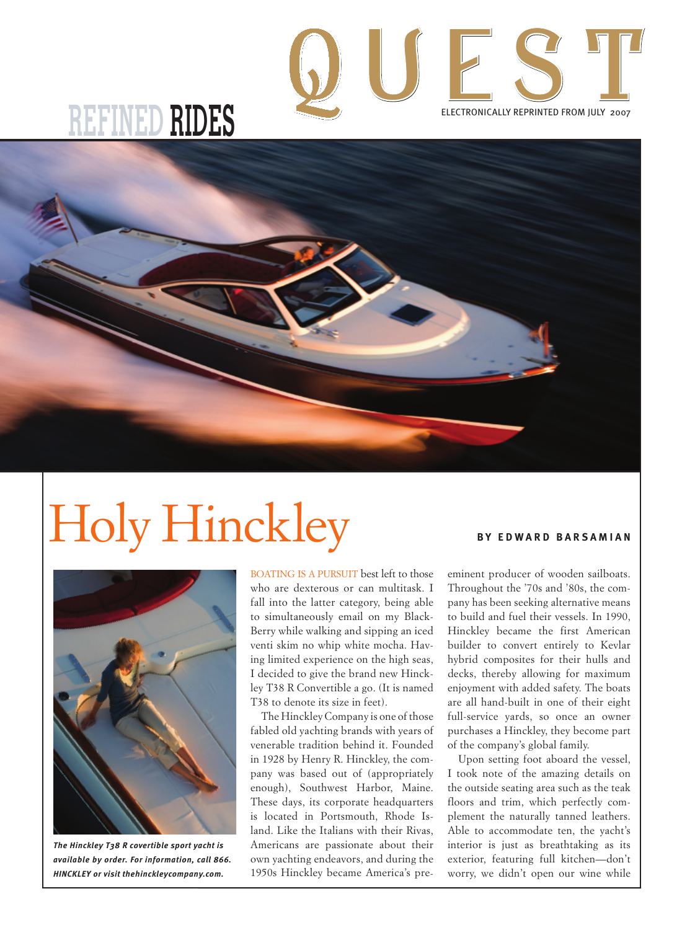

## **REFINED RIDES**



## Holy Hinckley **BY EDWARD BARSAMIAN**



*The Hinckley T38 R covertible sport yacht is available by order. For information, call 866. HINCKLEY or visit thehinckleycompany.com.*

BOATING IS A PURSUIT best left to those who are dexterous or can multitask. I fall into the latter category, being able to simultaneously email on my Black-Berry while walking and sipping an iced venti skim no whip white mocha. Having limited experience on the high seas, I decided to give the brand new Hinckley T38 R Convertible a go. (It is named T38 to denote its size in feet).

The Hinckley Company is one of those fabled old yachting brands with years of venerable tradition behind it. Founded in 1928 by Henry R. Hinckley, the company was based out of (appropriately enough), Southwest Harbor, Maine. These days, its corporate headquarters is located in Portsmouth, Rhode Island. Like the Italians with their Rivas, Americans are passionate about their own yachting endeavors, and during the 1950s Hinckley became America's pre-

eminent producer of wooden sailboats. Throughout the '70s and '80s, the company has been seeking alternative means to build and fuel their vessels. In 1990, Hinckley became the first American builder to convert entirely to Kevlar hybrid composites for their hulls and decks, thereby allowing for maximum enjoyment with added safety. The boats are all hand-built in one of their eight full-service yards, so once an owner purchases a Hinckley, they become part of the company's global family.

Upon setting foot aboard the vessel, I took note of the amazing details on the outside seating area such as the teak floors and trim, which perfectly complement the naturally tanned leathers. Able to accommodate ten, the yacht's interior is just as breathtaking as its exterior, featuring full kitchen—don't worry, we didn't open our wine while